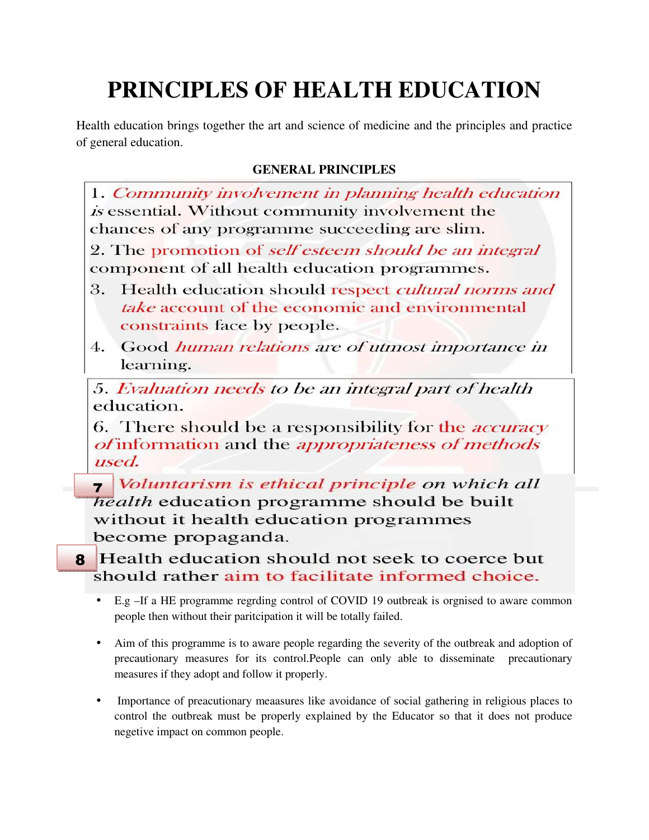## **PRINCIPLES OF HEALTH EDUCATION**

Health education brings together the art and science of medicine and the principles and practice of general education.

## **GENERAL PRINCIPLES**

1. Community involvement in planning health education is essential. Without community involvement the chances of any programme succeeding are slim.

2. The promotion of *self esteem should be an integral* component of all health education programmes.

- Health education should respect cultural norms and 3. take account of the economic and environmental constraints face by people.
- Good human relations are of utmost importance in  $4.$ learning.

5. Evaluation needs to be an integral part of health education.

6. There should be a responsibility for the *accuracy of* information and the *appropriateness of methods* used.

*voluntarism is ethical principle on which all*<br>health education programme should be built without it health education programmes become propaganda.

**8** Health education should not seek to coerce but should rather aim to facilitate informed choice.

- E.g –If a HE programme regrding control of COVID 19 outbreak is orgnised to aware common people then without their paritcipation it will be totally failed.
- Aim of this programme is to aware people regarding the severity of the outbreak and adoption of precautionary measures for its control.People can only able to disseminate precautionary measures if they adopt and follow it properly.
- Importance of preacutionary meaasures like avoidance of social gathering in religious places to control the outbreak must be properly explained by the Educator so that it does not produce negetive impact on common people.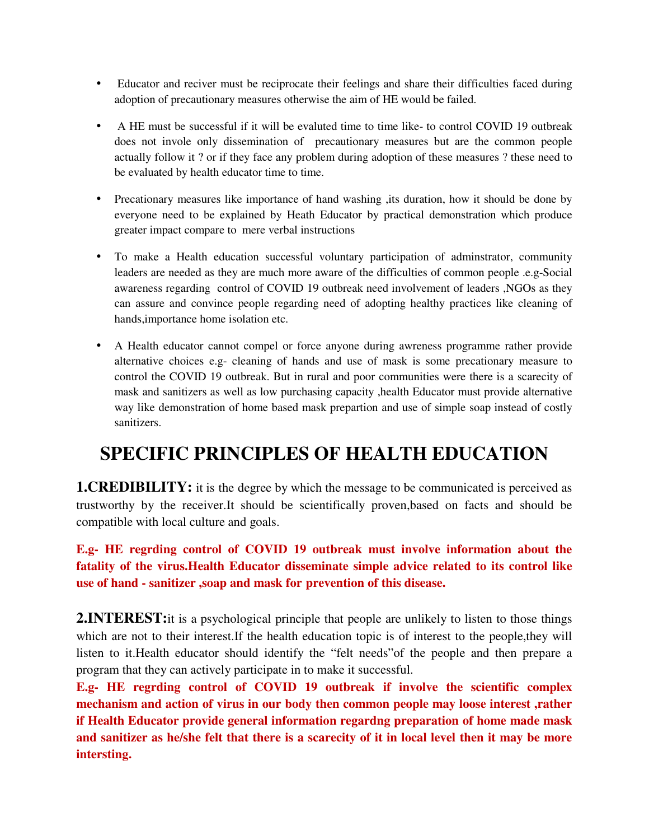- Educator and reciver must be reciprocate their feelings and share their difficulties faced during adoption of precautionary measures otherwise the aim of HE would be failed.
- A HE must be successful if it will be evaluted time to time like- to control COVID 19 outbreak does not invole only dissemination of precautionary measures but are the common people actually follow it ? or if they face any problem during adoption of these measures ? these need to be evaluated by health educator time to time.
- Precationary measures like importance of hand washing , its duration, how it should be done by everyone need to be explained by Heath Educator by practical demonstration which produce greater impact compare to mere verbal instructions
- To make a Health education successful voluntary participation of adminstrator, community leaders are needed as they are much more aware of the difficulties of common people .e.g-Social awareness regarding control of COVID 19 outbreak need involvement of leaders ,NGOs as they can assure and convince people regarding need of adopting healthy practices like cleaning of hands,importance home isolation etc.
- A Health educator cannot compel or force anyone during awreness programme rather provide alternative choices e.g- cleaning of hands and use of mask is some precationary measure to control the COVID 19 outbreak. But in rural and poor communities were there is a scarecity of mask and sanitizers as well as low purchasing capacity ,health Educator must provide alternative way like demonstration of home based mask prepartion and use of simple soap instead of costly sanitizers.

## **SPECIFIC PRINCIPLES OF HEALTH EDUCATION**

**1.CREDIBILITY:** it is the degree by which the message to be communicated is perceived as trustworthy by the receiver.It should be scientifically proven,based on facts and should be compatible with local culture and goals.

**E.g- HE regrding control of COVID 19 outbreak must involve information about the fatality of the virus.Health Educator disseminate simple advice related to its control like use of hand - sanitizer ,soap and mask for prevention of this disease.** 

2.INTEREST: it is a psychological principle that people are unlikely to listen to those things which are not to their interest. If the health education topic is of interest to the people, they will listen to it.Health educator should identify the "felt needs"of the people and then prepare a program that they can actively participate in to make it successful.

**E.g- HE regrding control of COVID 19 outbreak if involve the scientific complex mechanism and action of virus in our body then common people may loose interest ,rather if Health Educator provide general information regardng preparation of home made mask and sanitizer as he/she felt that there is a scarecity of it in local level then it may be more intersting.**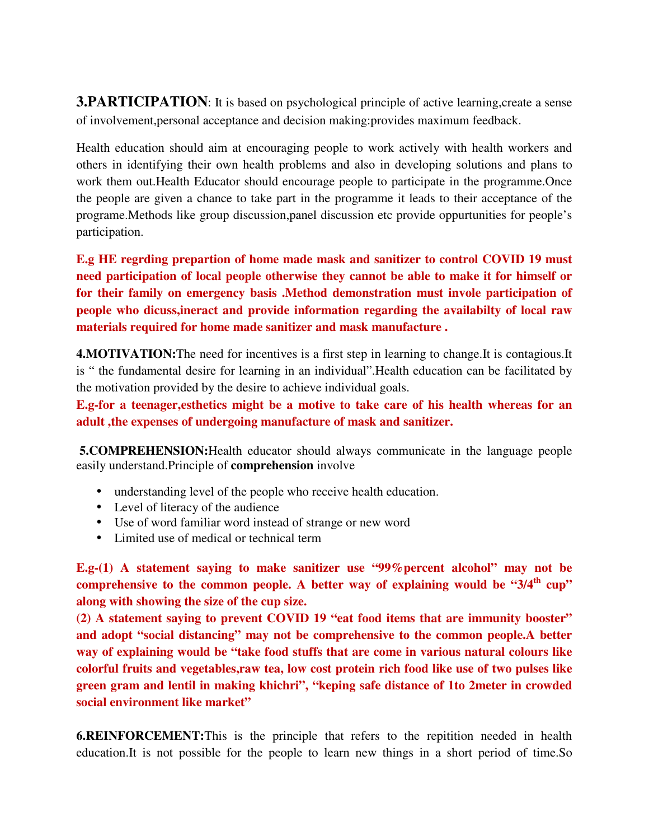**3.PARTICIPATION:** It is based on psychological principle of active learning, create a sense of involvement,personal acceptance and decision making:provides maximum feedback.

Health education should aim at encouraging people to work actively with health workers and others in identifying their own health problems and also in developing solutions and plans to work them out.Health Educator should encourage people to participate in the programme.Once the people are given a chance to take part in the programme it leads to their acceptance of the programe.Methods like group discussion,panel discussion etc provide oppurtunities for people's participation.

**E.g HE regrding prepartion of home made mask and sanitizer to control COVID 19 must need participation of local people otherwise they cannot be able to make it for himself or for their family on emergency basis .Method demonstration must invole participation of people who dicuss,ineract and provide information regarding the availabilty of local raw materials required for home made sanitizer and mask manufacture .**

**4.MOTIVATION:** The need for incentives is a first step in learning to change. It is contagious. It is " the fundamental desire for learning in an individual".Health education can be facilitated by the motivation provided by the desire to achieve individual goals.

**E.g-for a teenager,esthetics might be a motive to take care of his health whereas for an adult ,the expenses of undergoing manufacture of mask and sanitizer.** 

**5.COMPREHENSION:**Health educator should always communicate in the language people easily understand.Principle of **comprehension** involve

- understanding level of the people who receive health education.
- Level of literacy of the audience
- Use of word familiar word instead of strange or new word
- Limited use of medical or technical term

**E.g-(1) A statement saying to make sanitizer use "99%percent alcohol" may not be comprehensive to the common people. A better way of explaining would be "3/4th cup" along with showing the size of the cup size.** 

**(2) A statement saying to prevent COVID 19 "eat food items that are immunity booster" and adopt "social distancing" may not be comprehensive to the common people.A better way of explaining would be "take food stuffs that are come in various natural colours like colorful fruits and vegetables,raw tea, low cost protein rich food like use of two pulses like green gram and lentil in making khichri", "keping safe distance of 1to 2meter in crowded social environment like market"** 

**6.REINFORCEMENT:**This is the principle that refers to the repitition needed in health education.It is not possible for the people to learn new things in a short period of time.So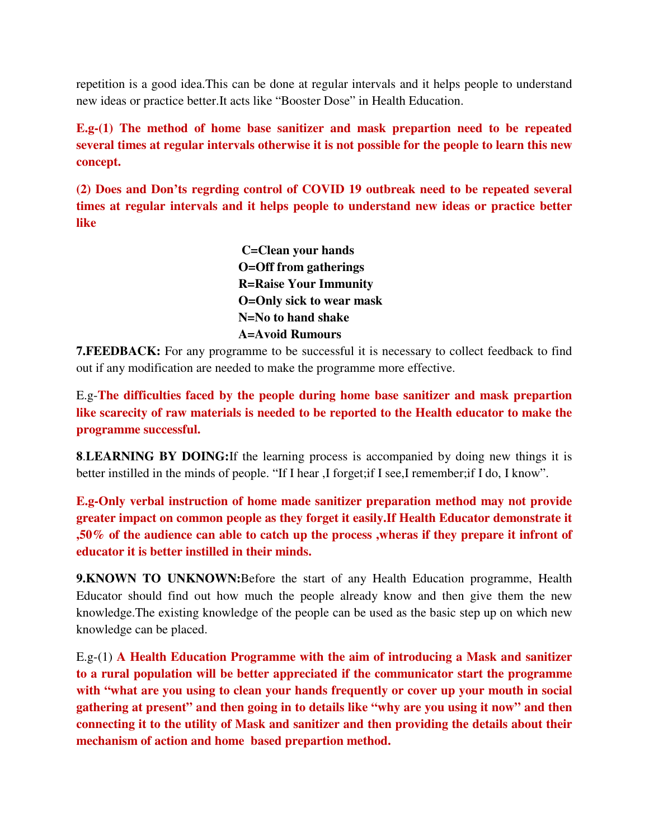repetition is a good idea.This can be done at regular intervals and it helps people to understand new ideas or practice better.It acts like "Booster Dose" in Health Education.

**E.g-(1) The method of home base sanitizer and mask prepartion need to be repeated several times at regular intervals otherwise it is not possible for the people to learn this new concept.** 

**(2) Does and Don'ts regrding control of COVID 19 outbreak need to be repeated several times at regular intervals and it helps people to understand new ideas or practice better like**

> **C=Clean your hands O=Off from gatherings R=Raise Your Immunity O=Only sick to wear mask N=No to hand shake A=Avoid Rumours**

**7. FEEDBACK:** For any programme to be successful it is necessary to collect feedback to find out if any modification are needed to make the programme more effective.

E.g-**The difficulties faced by the people during home base sanitizer and mask prepartion like scarecity of raw materials is needed to be reported to the Health educator to make the programme successful.** 

**8**.**LEARNING BY DOING:**If the learning process is accompanied by doing new things it is better instilled in the minds of people. "If I hear ,I forget;if I see,I remember;if I do, I know".

**E.g-Only verbal instruction of home made sanitizer preparation method may not provide greater impact on common people as they forget it easily.If Health Educator demonstrate it ,50% of the audience can able to catch up the process ,wheras if they prepare it infront of educator it is better instilled in their minds.** 

**9.KNOWN TO UNKNOWN:**Before the start of any Health Education programme, Health Educator should find out how much the people already know and then give them the new knowledge.The existing knowledge of the people can be used as the basic step up on which new knowledge can be placed.

E.g-(1) **A Health Education Programme with the aim of introducing a Mask and sanitizer to a rural population will be better appreciated if the communicator start the programme with "what are you using to clean your hands frequently or cover up your mouth in social gathering at present" and then going in to details like "why are you using it now" and then connecting it to the utility of Mask and sanitizer and then providing the details about their mechanism of action and home based prepartion method.**